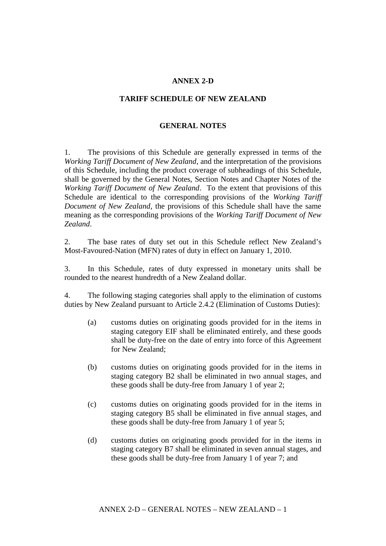## **ANNEX 2-D**

## **TARIFF SCHEDULE OF NEW ZEALAND**

## **GENERAL NOTES**

1. The provisions of this Schedule are generally expressed in terms of the *Working Tariff Document of New Zealand*, and the interpretation of the provisions of this Schedule, including the product coverage of subheadings of this Schedule, shall be governed by the General Notes, Section Notes and Chapter Notes of the *Working Tariff Document of New Zealand*. To the extent that provisions of this Schedule are identical to the corresponding provisions of the *Working Tariff Document of New Zealand*, the provisions of this Schedule shall have the same meaning as the corresponding provisions of the *Working Tariff Document of New Zealand*.

2. The base rates of duty set out in this Schedule reflect New Zealand's Most-Favoured-Nation (MFN) rates of duty in effect on January 1, 2010.

3. In this Schedule, rates of duty expressed in monetary units shall be rounded to the nearest hundredth of a New Zealand dollar.

4. The following staging categories shall apply to the elimination of customs duties by New Zealand pursuant to Article 2.4.2 (Elimination of Customs Duties):

- (a) customs duties on originating goods provided for in the items in staging category EIF shall be eliminated entirely, and these goods shall be duty-free on the date of entry into force of this Agreement for New Zealand;
- (b) customs duties on originating goods provided for in the items in staging category B2 shall be eliminated in two annual stages, and these goods shall be duty-free from January 1 of year 2;
- (c) customs duties on originating goods provided for in the items in staging category B5 shall be eliminated in five annual stages, and these goods shall be duty-free from January 1 of year 5;
- (d) customs duties on originating goods provided for in the items in staging category B7 shall be eliminated in seven annual stages, and these goods shall be duty-free from January 1 of year 7; and